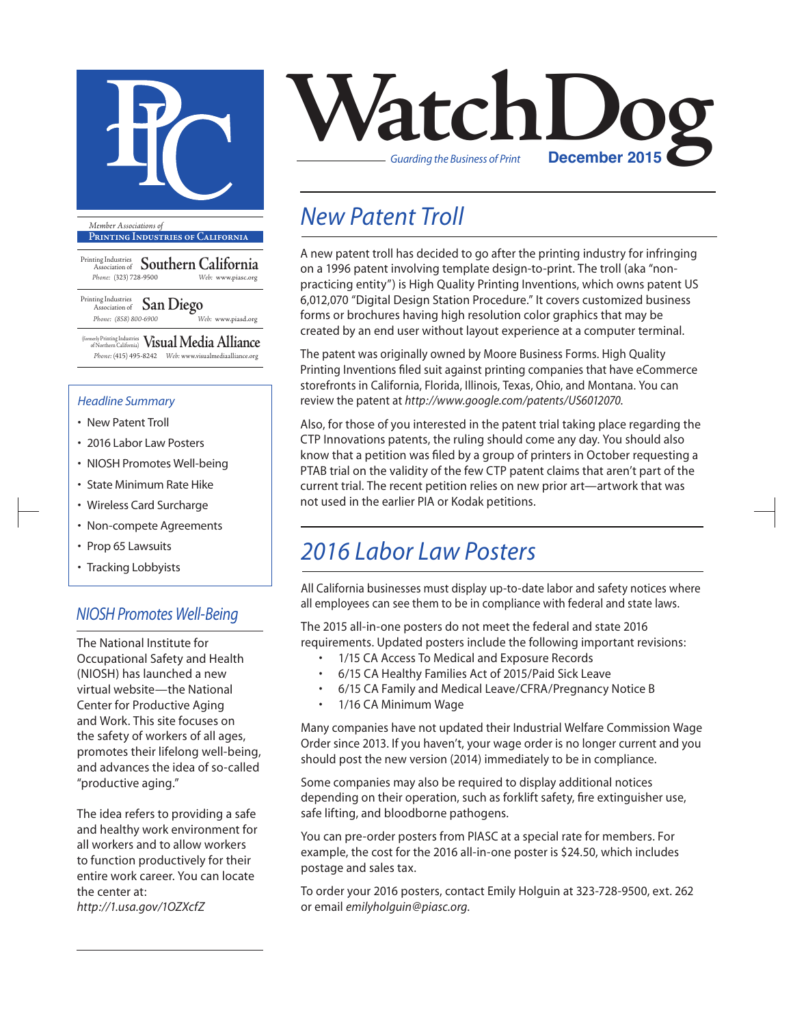

**Printing Industries of California**

Printing Industries Association of **Southern California** *Phone:* (323) 728-9500 *Web:* www.piasc.org

Printing Industries Association of **San Diego** *Phone: (858) 800-6900 Web:* www.piasd.org

(formerly Printing Industries of Northern California) **Visual Media Alliance** *Phone:* (415) 495-8242 *Web:* www.visualmediaalliance.org

#### *Headline Summary*

- New Patent Troll
- 2016 Labor Law Posters
- NIOSH Promotes Well-being
- State Minimum Rate Hike
- Wireless Card Surcharge
- Non-compete Agreements
- Prop 65 Lawsuits
- Tracking Lobbyists

### *NIOSH Promotes Well-Being*

The National Institute for Occupational Safety and Health (NIOSH) has launched a new virtual website—the National Center for Productive Aging and Work. This site focuses on the safety of workers of all ages, promotes their lifelong well-being, and advances the idea of so-called "productive aging."

The idea refers to providing a safe and healthy work environment for all workers and to allow workers to function productively for their entire work career. You can locate the center at:

*http://1.usa.gov/1OZXcfZ*



## *New Patent Troll*

A new patent troll has decided to go after the printing industry for infringing on a 1996 patent involving template design-to-print. The troll (aka "nonpracticing entity") is High Quality Printing Inventions, which owns patent US 6,012,070 "Digital Design Station Procedure." It covers customized business forms or brochures having high resolution color graphics that may be created by an end user without layout experience at a computer terminal.

The patent was originally owned by Moore Business Forms. High Quality Printing Inventions filed suit against printing companies that have eCommerce storefronts in California, Florida, Illinois, Texas, Ohio, and Montana. You can review the patent at *http://www.google.com/patents/US6012070*.

Also, for those of you interested in the patent trial taking place regarding the CTP Innovations patents, the ruling should come any day. You should also know that a petition was filed by a group of printers in October requesting a PTAB trial on the validity of the few CTP patent claims that aren't part of the current trial. The recent petition relies on new prior art—artwork that was not used in the earlier PIA or Kodak petitions.

## *2016 Labor Law Posters*

All California businesses must display up-to-date labor and safety notices where all employees can see them to be in compliance with federal and state laws.

The 2015 all-in-one posters do not meet the federal and state 2016 requirements. Updated posters include the following important revisions:

- 1/15 CA Access To Medical and Exposure Records
- 6/15 CA Healthy Families Act of 2015/Paid Sick Leave
- 6/15 CA Family and Medical Leave/CFRA/Pregnancy Notice B
- 1/16 CA Minimum Wage

Many companies have not updated their Industrial Welfare Commission Wage Order since 2013. If you haven't, your wage order is no longer current and you should post the new version (2014) immediately to be in compliance.

Some companies may also be required to display additional notices depending on their operation, such as forklift safety, fire extinguisher use, safe lifting, and bloodborne pathogens.

You can pre-order posters from PIASC at a special rate for members. For example, the cost for the 2016 all-in-one poster is \$24.50, which includes postage and sales tax.

To order your 2016 posters, contact Emily Holguin at 323-728-9500, ext. 262 or email *emilyholguin@piasc.org*.